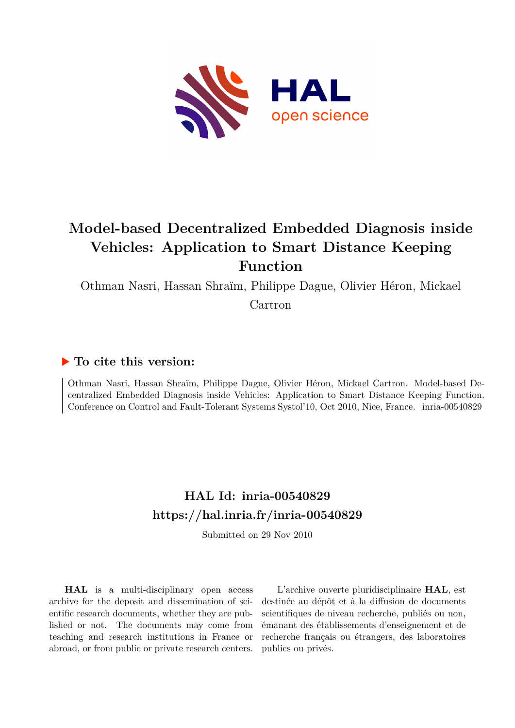

# **Model-based Decentralized Embedded Diagnosis inside Vehicles: Application to Smart Distance Keeping Function**

Othman Nasri, Hassan Shraïm, Philippe Dague, Olivier Héron, Mickael Cartron

# **To cite this version:**

Othman Nasri, Hassan Shraïm, Philippe Dague, Olivier Héron, Mickael Cartron. Model-based Decentralized Embedded Diagnosis inside Vehicles: Application to Smart Distance Keeping Function. Conference on Control and Fault-Tolerant Systems Systol'10, Oct 2010, Nice, France. inria-00540829

# **HAL Id: inria-00540829 <https://hal.inria.fr/inria-00540829>**

Submitted on 29 Nov 2010

**HAL** is a multi-disciplinary open access archive for the deposit and dissemination of scientific research documents, whether they are published or not. The documents may come from teaching and research institutions in France or abroad, or from public or private research centers.

L'archive ouverte pluridisciplinaire **HAL**, est destinée au dépôt et à la diffusion de documents scientifiques de niveau recherche, publiés ou non, émanant des établissements d'enseignement et de recherche français ou étrangers, des laboratoires publics ou privés.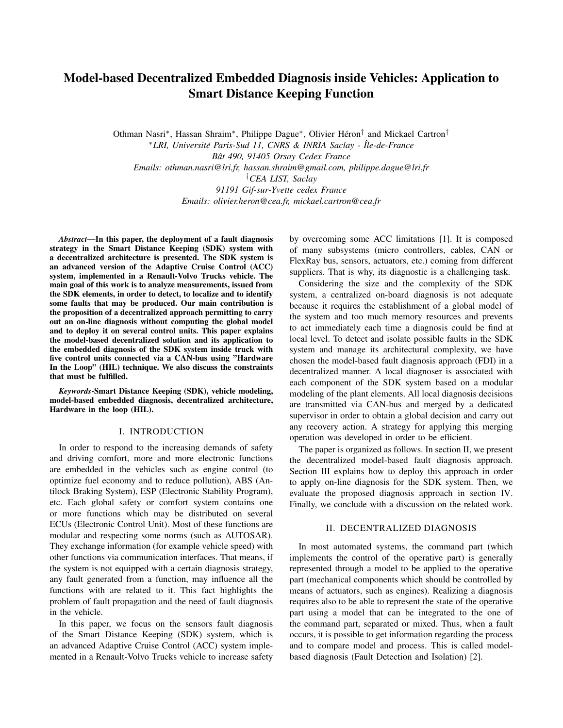# Model-based Decentralized Embedded Diagnosis inside Vehicles: Application to Smart Distance Keeping Function

Othman Nasri\*, Hassan Shraim\*, Philippe Dague\*, Olivier Héron<sup>†</sup> and Mickael Cartron<sup>†</sup> <sup>∗</sup>*LRI, Universite Paris-Sud 11, CNRS & INRIA Saclay - ´ ˆIle-de-France Bat 490, 91405 Orsay Cedex France ˆ Emails: othman.nasri@lri.fr, hassan.shraim@gmail.com, philippe.dague@lri.fr* †*CEA LIST, Saclay 91191 Gif-sur-Yvette cedex France Emails: olivier.heron@cea.fr, mickael.cartron@cea.fr*

*Abstract*—In this paper, the deployment of a fault diagnosis strategy in the Smart Distance Keeping (SDK) system with a decentralized architecture is presented. The SDK system is an advanced version of the Adaptive Cruise Control (ACC) system, implemented in a Renault-Volvo Trucks vehicle. The main goal of this work is to analyze measurements, issued from the SDK elements, in order to detect, to localize and to identify some faults that may be produced. Our main contribution is the proposition of a decentralized approach permitting to carry out an on-line diagnosis without computing the global model and to deploy it on several control units. This paper explains the model-based decentralized solution and its application to the embedded diagnosis of the SDK system inside truck with five control units connected via a CAN-bus using "Hardware In the Loop" (HIL) technique. We also discuss the constraints that must be fulfilled.

*Keywords*-Smart Distance Keeping (SDK), vehicle modeling, model-based embedded diagnosis, decentralized architecture, Hardware in the loop (HIL).

#### I. INTRODUCTION

In order to respond to the increasing demands of safety and driving comfort, more and more electronic functions are embedded in the vehicles such as engine control (to optimize fuel economy and to reduce pollution), ABS (Antilock Braking System), ESP (Electronic Stability Program), etc. Each global safety or comfort system contains one or more functions which may be distributed on several ECUs (Electronic Control Unit). Most of these functions are modular and respecting some norms (such as AUTOSAR). They exchange information (for example vehicle speed) with other functions via communication interfaces. That means, if the system is not equipped with a certain diagnosis strategy, any fault generated from a function, may influence all the functions with are related to it. This fact highlights the problem of fault propagation and the need of fault diagnosis in the vehicle.

In this paper, we focus on the sensors fault diagnosis of the Smart Distance Keeping (SDK) system, which is an advanced Adaptive Cruise Control (ACC) system implemented in a Renault-Volvo Trucks vehicle to increase safety by overcoming some ACC limitations [1]. It is composed of many subsystems (micro controllers, cables, CAN or FlexRay bus, sensors, actuators, etc.) coming from different suppliers. That is why, its diagnostic is a challenging task.

Considering the size and the complexity of the SDK system, a centralized on-board diagnosis is not adequate because it requires the establishment of a global model of the system and too much memory resources and prevents to act immediately each time a diagnosis could be find at local level. To detect and isolate possible faults in the SDK system and manage its architectural complexity, we have chosen the model-based fault diagnosis approach (FDI) in a decentralized manner. A local diagnoser is associated with each component of the SDK system based on a modular modeling of the plant elements. All local diagnosis decisions are transmitted via CAN-bus and merged by a dedicated supervisor in order to obtain a global decision and carry out any recovery action. A strategy for applying this merging operation was developed in order to be efficient.

The paper is organized as follows. In section II, we present the decentralized model-based fault diagnosis approach. Section III explains how to deploy this approach in order to apply on-line diagnosis for the SDK system. Then, we evaluate the proposed diagnosis approach in section IV. Finally, we conclude with a discussion on the related work.

#### II. DECENTRALIZED DIAGNOSIS

In most automated systems, the command part (which implements the control of the operative part) is generally represented through a model to be applied to the operative part (mechanical components which should be controlled by means of actuators, such as engines). Realizing a diagnosis requires also to be able to represent the state of the operative part using a model that can be integrated to the one of the command part, separated or mixed. Thus, when a fault occurs, it is possible to get information regarding the process and to compare model and process. This is called modelbased diagnosis (Fault Detection and Isolation) [2].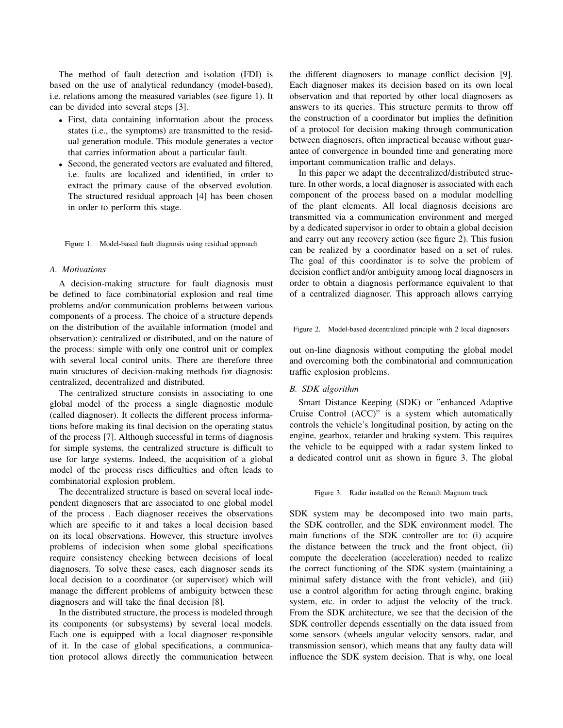The method of fault detection and isolation (FDI) is based on the use of analytical redundancy (model-based), i.e. relations among the measured variables (see figure 1). It can be divided into several steps [3].

- First, data containing information about the process states (i.e., the symptoms) are transmitted to the residual generation module. This module generates a vector that carries information about a particular fault.
- Second, the generated vectors are evaluated and filtered, i.e. faults are localized and identified, in order to extract the primary cause of the observed evolution. The structured residual approach [4] has been chosen in order to perform this stage.

Figure 1. Model-based fault diagnosis using residual approach

#### *A. Motivations*

A decision-making structure for fault diagnosis must be defined to face combinatorial explosion and real time problems and/or communication problems between various components of a process. The choice of a structure depends on the distribution of the available information (model and observation): centralized or distributed, and on the nature of the process: simple with only one control unit or complex with several local control units. There are therefore three main structures of decision-making methods for diagnosis: centralized, decentralized and distributed.

The centralized structure consists in associating to one global model of the process a single diagnostic module (called diagnoser). It collects the different process informations before making its final decision on the operating status of the process [7]. Although successful in terms of diagnosis for simple systems, the centralized structure is difficult to use for large systems. Indeed, the acquisition of a global model of the process rises difficulties and often leads to combinatorial explosion problem.

The decentralized structure is based on several local independent diagnosers that are associated to one global model of the process . Each diagnoser receives the observations which are specific to it and takes a local decision based on its local observations. However, this structure involves problems of indecision when some global specifications require consistency checking between decisions of local diagnosers. To solve these cases, each diagnoser sends its local decision to a coordinator (or supervisor) which will manage the different problems of ambiguity between these diagnosers and will take the final decision [8].

In the distributed structure, the process is modeled through its components (or subsystems) by several local models. Each one is equipped with a local diagnoser responsible of it. In the case of global specifications, a communication protocol allows directly the communication between the different diagnosers to manage conflict decision [9]. Each diagnoser makes its decision based on its own local observation and that reported by other local diagnosers as answers to its queries. This structure permits to throw off the construction of a coordinator but implies the definition of a protocol for decision making through communication between diagnosers, often impractical because without guarantee of convergence in bounded time and generating more important communication traffic and delays.

In this paper we adapt the decentralized/distributed structure. In other words, a local diagnoser is associated with each component of the process based on a modular modelling of the plant elements. All local diagnosis decisions are transmitted via a communication environment and merged by a dedicated supervisor in order to obtain a global decision and carry out any recovery action (see figure 2). This fusion can be realized by a coordinator based on a set of rules. The goal of this coordinator is to solve the problem of decision conflict and/or ambiguity among local diagnosers in order to obtain a diagnosis performance equivalent to that of a centralized diagnoser. This approach allows carrying

#### Figure 2. Model-based decentralized principle with 2 local diagnosers

out on-line diagnosis without computing the global model and overcoming both the combinatorial and communication traffic explosion problems.

# *B. SDK algorithm*

Smart Distance Keeping (SDK) or "enhanced Adaptive Cruise Control (ACC)" is a system which automatically controls the vehicle's longitudinal position, by acting on the engine, gearbox, retarder and braking system. This requires the vehicle to be equipped with a radar system linked to a dedicated control unit as shown in figure 3. The global

Figure 3. Radar installed on the Renault Magnum truck

SDK system may be decomposed into two main parts, the SDK controller, and the SDK environment model. The main functions of the SDK controller are to: (i) acquire the distance between the truck and the front object, (ii) compute the deceleration (acceleration) needed to realize the correct functioning of the SDK system (maintaining a minimal safety distance with the front vehicle), and (iii) use a control algorithm for acting through engine, braking system, etc. in order to adjust the velocity of the truck. From the SDK architecture, we see that the decision of the SDK controller depends essentially on the data issued from some sensors (wheels angular velocity sensors, radar, and transmission sensor), which means that any faulty data will influence the SDK system decision. That is why, one local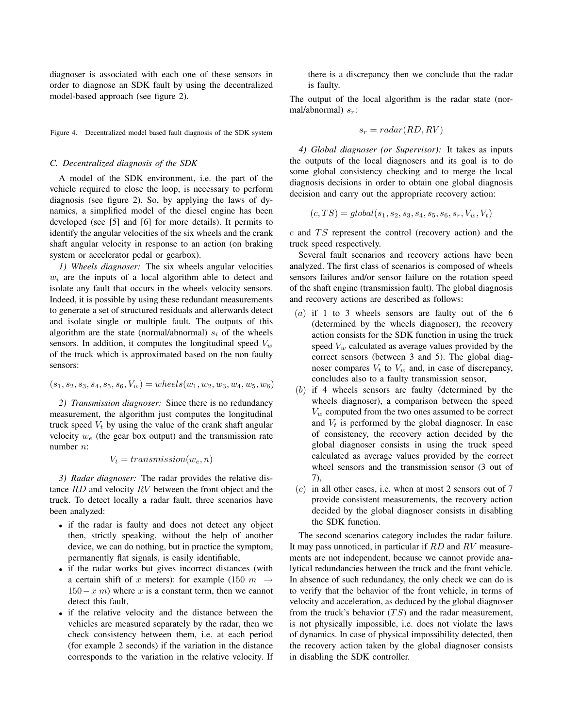diagnoser is associated with each one of these sensors in order to diagnose an SDK fault by using the decentralized model-based approach (see figure 2).

Figure 4. Decentralized model based fault diagnosis of the SDK system

#### *C. Decentralized diagnosis of the SDK*

A model of the SDK environment, i.e. the part of the vehicle required to close the loop, is necessary to perform diagnosis (see figure 2). So, by applying the laws of dynamics, a simplified model of the diesel engine has been developed (see [5] and [6] for more details). It permits to identify the angular velocities of the six wheels and the crank shaft angular velocity in response to an action (on braking system or accelerator pedal or gearbox).

*1) Wheels diagnoser:* The six wheels angular velocities  $w<sub>i</sub>$  are the inputs of a local algorithm able to detect and isolate any fault that occurs in the wheels velocity sensors. Indeed, it is possible by using these redundant measurements to generate a set of structured residuals and afterwards detect and isolate single or multiple fault. The outputs of this algorithm are the state (normal/abnormal)  $s_i$  of the wheels sensors. In addition, it computes the longitudinal speed  $V_w$ of the truck which is approximated based on the non faulty sensors:

$$
(s_1, s_2, s_3, s_4, s_5, s_6, V_w) = \text{wheels}(w_1, w_2, w_3, w_4, w_5, w_6)
$$

*2) Transmission diagnoser:* Since there is no redundancy measurement, the algorithm just computes the longitudinal truck speed  $V_t$  by using the value of the crank shaft angular velocity  $w_e$  (the gear box output) and the transmission rate number n:

# $V_t = transmission(w_e, n)$

*3) Radar diagnoser:* The radar provides the relative distance RD and velocity RV between the front object and the truck. To detect locally a radar fault, three scenarios have been analyzed:

- if the radar is faulty and does not detect any object then, strictly speaking, without the help of another device, we can do nothing, but in practice the symptom, permanently flat signals, is easily identifiable,
- if the radar works but gives incorrect distances (with a certain shift of x meters): for example (150  $m \rightarrow$  $150-x$  m) where x is a constant term, then we cannot detect this fault,
- if the relative velocity and the distance between the vehicles are measured separately by the radar, then we check consistency between them, i.e. at each period (for example 2 seconds) if the variation in the distance corresponds to the variation in the relative velocity. If

there is a discrepancy then we conclude that the radar is faulty.

The output of the local algorithm is the radar state (normal/abnormal)  $s_r$ :

$$
s_r = \text{radar}(RD, RV)
$$

*4) Global diagnoser (or Supervisor):* It takes as inputs the outputs of the local diagnosers and its goal is to do some global consistency checking and to merge the local diagnosis decisions in order to obtain one global diagnosis decision and carry out the appropriate recovery action:

$$
(c, TS) = global(s_1, s_2, s_3, s_4, s_5, s_6, s_r, V_w, V_t)
$$

 $c$  and  $TS$  represent the control (recovery action) and the truck speed respectively.

Several fault scenarios and recovery actions have been analyzed. The first class of scenarios is composed of wheels sensors failures and/or sensor failure on the rotation speed of the shaft engine (transmission fault). The global diagnosis and recovery actions are described as follows:

- $(a)$  if 1 to 3 wheels sensors are faulty out of the 6 (determined by the wheels diagnoser), the recovery action consists for the SDK function in using the truck speed  $V_w$  calculated as average values provided by the correct sensors (between 3 and 5). The global diagnoser compares  $V_t$  to  $V_w$  and, in case of discrepancy, concludes also to a faulty transmission sensor,
- (b) if 4 wheels sensors are faulty (determined by the wheels diagnoser), a comparison between the speed  $V_w$  computed from the two ones assumed to be correct and  $V_t$  is performed by the global diagnoser. In case of consistency, the recovery action decided by the global diagnoser consists in using the truck speed calculated as average values provided by the correct wheel sensors and the transmission sensor (3 out of 7),
- $(c)$  in all other cases, i.e. when at most 2 sensors out of 7 provide consistent measurements, the recovery action decided by the global diagnoser consists in disabling the SDK function.

The second scenarios category includes the radar failure. It may pass unnoticed, in particular if RD and RV measurements are not independent, because we cannot provide analytical redundancies between the truck and the front vehicle. In absence of such redundancy, the only check we can do is to verify that the behavior of the front vehicle, in terms of velocity and acceleration, as deduced by the global diagnoser from the truck's behavior  $(TS)$  and the radar measurement, is not physically impossible, i.e. does not violate the laws of dynamics. In case of physical impossibility detected, then the recovery action taken by the global diagnoser consists in disabling the SDK controller.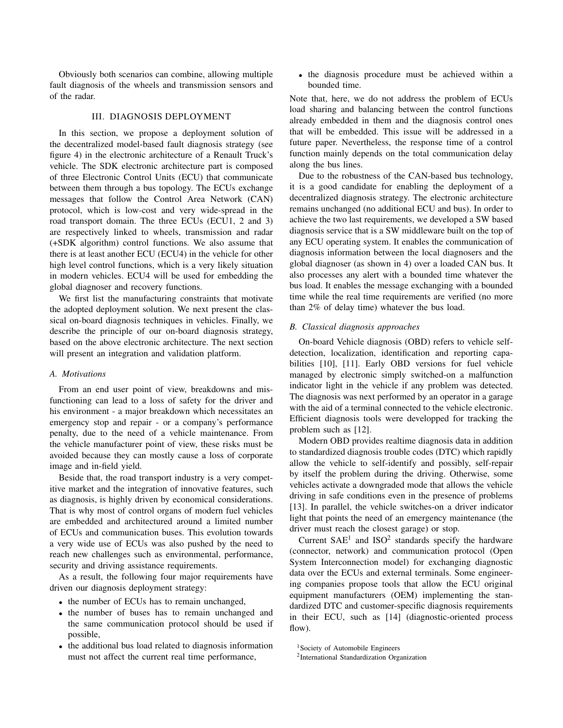Obviously both scenarios can combine, allowing multiple fault diagnosis of the wheels and transmission sensors and of the radar.

# III. DIAGNOSIS DEPLOYMENT

In this section, we propose a deployment solution of the decentralized model-based fault diagnosis strategy (see figure 4) in the electronic architecture of a Renault Truck's vehicle. The SDK electronic architecture part is composed of three Electronic Control Units (ECU) that communicate between them through a bus topology. The ECUs exchange messages that follow the Control Area Network (CAN) protocol, which is low-cost and very wide-spread in the road transport domain. The three ECUs (ECU1, 2 and 3) are respectively linked to wheels, transmission and radar (+SDK algorithm) control functions. We also assume that there is at least another ECU (ECU4) in the vehicle for other high level control functions, which is a very likely situation in modern vehicles. ECU4 will be used for embedding the global diagnoser and recovery functions.

We first list the manufacturing constraints that motivate the adopted deployment solution. We next present the classical on-board diagnosis techniques in vehicles. Finally, we describe the principle of our on-board diagnosis strategy, based on the above electronic architecture. The next section will present an integration and validation platform.

### *A. Motivations*

From an end user point of view, breakdowns and misfunctioning can lead to a loss of safety for the driver and his environment - a major breakdown which necessitates an emergency stop and repair - or a company's performance penalty, due to the need of a vehicle maintenance. From the vehicle manufacturer point of view, these risks must be avoided because they can mostly cause a loss of corporate image and in-field yield.

Beside that, the road transport industry is a very competitive market and the integration of innovative features, such as diagnosis, is highly driven by economical considerations. That is why most of control organs of modern fuel vehicles are embedded and architectured around a limited number of ECUs and communication buses. This evolution towards a very wide use of ECUs was also pushed by the need to reach new challenges such as environmental, performance, security and driving assistance requirements.

As a result, the following four major requirements have driven our diagnosis deployment strategy:

- the number of ECUs has to remain unchanged,
- the number of buses has to remain unchanged and the same communication protocol should be used if possible,
- the additional bus load related to diagnosis information must not affect the current real time performance,

• the diagnosis procedure must be achieved within a bounded time.

Note that, here, we do not address the problem of ECUs load sharing and balancing between the control functions already embedded in them and the diagnosis control ones that will be embedded. This issue will be addressed in a future paper. Nevertheless, the response time of a control function mainly depends on the total communication delay along the bus lines.

Due to the robustness of the CAN-based bus technology, it is a good candidate for enabling the deployment of a decentralized diagnosis strategy. The electronic architecture remains unchanged (no additional ECU and bus). In order to achieve the two last requirements, we developed a SW based diagnosis service that is a SW middleware built on the top of any ECU operating system. It enables the communication of diagnosis information between the local diagnosers and the global diagnoser (as shown in 4) over a loaded CAN bus. It also processes any alert with a bounded time whatever the bus load. It enables the message exchanging with a bounded time while the real time requirements are verified (no more than 2% of delay time) whatever the bus load.

#### *B. Classical diagnosis approaches*

On-board Vehicle diagnosis (OBD) refers to vehicle selfdetection, localization, identification and reporting capabilities [10], [11]. Early OBD versions for fuel vehicle managed by electronic simply switched-on a malfunction indicator light in the vehicle if any problem was detected. The diagnosis was next performed by an operator in a garage with the aid of a terminal connected to the vehicle electronic. Efficient diagnosis tools were developped for tracking the problem such as [12].

Modern OBD provides realtime diagnosis data in addition to standardized diagnosis trouble codes (DTC) which rapidly allow the vehicle to self-identify and possibly, self-repair by itself the problem during the driving. Otherwise, some vehicles activate a downgraded mode that allows the vehicle driving in safe conditions even in the presence of problems [13]. In parallel, the vehicle switches-on a driver indicator light that points the need of an emergency maintenance (the driver must reach the closest garage) or stop.

Current  $SAE<sup>1</sup>$  and  $ISO<sup>2</sup>$  standards specify the hardware (connector, network) and communication protocol (Open System Interconnection model) for exchanging diagnostic data over the ECUs and external terminals. Some engineering companies propose tools that allow the ECU original equipment manufacturers (OEM) implementing the standardized DTC and customer-specific diagnosis requirements in their ECU, such as [14] (diagnostic-oriented process flow).

<sup>&</sup>lt;sup>1</sup>Society of Automobile Engineers

<sup>&</sup>lt;sup>2</sup>International Standardization Organization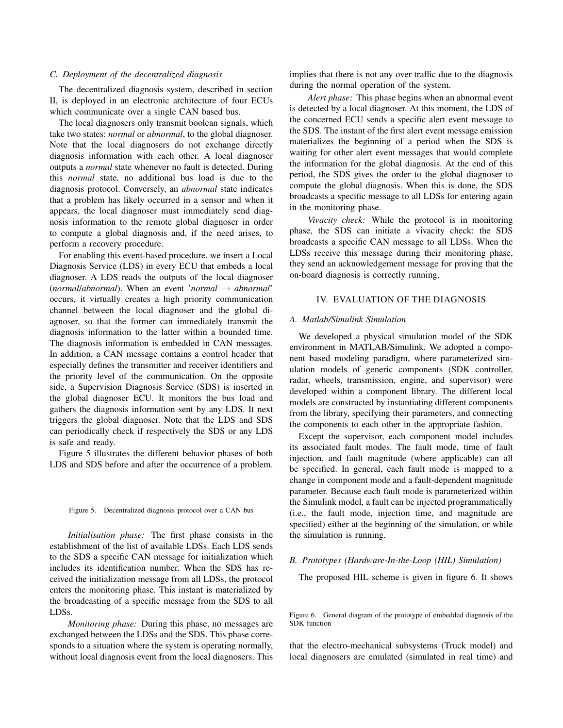# *C. Deployment of the decentralized diagnosis*

The decentralized diagnosis system, described in section II, is deployed in an electronic architecture of four ECUs which communicate over a single CAN based bus.

The local diagnosers only transmit boolean signals, which take two states: *normal* or *abnormal*, to the global diagnoser. Note that the local diagnosers do not exchange directly diagnosis information with each other. A local diagnoser outputs a *normal* state whenever no fault is detected. During this *normal* state, no additional bus load is due to the diagnosis protocol. Conversely, an *abnormal* state indicates that a problem has likely occurred in a sensor and when it appears, the local diagnoser must immediately send diagnosis information to the remote global diagnoser in order to compute a global diagnosis and, if the need arises, to perform a recovery procedure.

For enabling this event-based procedure, we insert a Local Diagnosis Service (LDS) in every ECU that embeds a local diagnoser. A LDS reads the outputs of the local diagnoser (*normal*/*abnormal*). When an event '*normal* → *abnormal*' occurs, it virtually creates a high priority communication channel between the local diagnoser and the global diagnoser, so that the former can immediately transmit the diagnosis information to the latter within a bounded time. The diagnosis information is embedded in CAN messages. In addition, a CAN message contains a control header that especially defines the transmitter and receiver identifiers and the priority level of the communication. On the opposite side, a Supervision Diagnosis Service (SDS) is inserted in the global diagnoser ECU. It monitors the bus load and gathers the diagnosis information sent by any LDS. It next triggers the global diagnoser. Note that the LDS and SDS can periodically check if respectively the SDS or any LDS is safe and ready.

Figure 5 illustrates the different behavior phases of both LDS and SDS before and after the occurrence of a problem.

Figure 5. Decentralized diagnosis protocol over a CAN bus

*Initialisation phase:* The first phase consists in the establishment of the list of available LDSs. Each LDS sends to the SDS a specific CAN message for initialization which includes its identification number. When the SDS has received the initialization message from all LDSs, the protocol enters the monitoring phase. This instant is materialized by the broadcasting of a specific message from the SDS to all LDSs.

*Monitoring phase:* During this phase, no messages are exchanged between the LDSs and the SDS. This phase corresponds to a situation where the system is operating normally, without local diagnosis event from the local diagnosers. This implies that there is not any over traffic due to the diagnosis during the normal operation of the system.

*Alert phase:* This phase begins when an abnormal event is detected by a local diagnoser. At this moment, the LDS of the concerned ECU sends a specific alert event message to the SDS. The instant of the first alert event message emission materializes the beginning of a period when the SDS is waiting for other alert event messages that would complete the information for the global diagnosis. At the end of this period, the SDS gives the order to the global diagnoser to compute the global diagnosis. When this is done, the SDS broadcasts a specific message to all LDSs for entering again in the monitoring phase.

*Vivacity check:* While the protocol is in monitoring phase, the SDS can initiate a vivacity check: the SDS broadcasts a specific CAN message to all LDSs. When the LDSs receive this message during their monitoring phase, they send an acknowledgement message for proving that the on-board diagnosis is correctly running.

# IV. EVALUATION OF THE DIAGNOSIS

#### *A. Matlab/Simulink Simulation*

We developed a physical simulation model of the SDK environment in MATLAB/Simulink. We adopted a component based modeling paradigm, where parameterized simulation models of generic components (SDK controller, radar, wheels, transmission, engine, and supervisor) were developed within a component library. The different local models are constructed by instantiating different components from the library, specifying their parameters, and connecting the components to each other in the appropriate fashion.

Except the supervisor, each component model includes its associated fault modes. The fault mode, time of fault injection, and fault magnitude (where applicable) can all be specified. In general, each fault mode is mapped to a change in component mode and a fault-dependent magnitude parameter. Because each fault mode is parameterized within the Simulink model, a fault can be injected programmatically (i.e., the fault mode, injection time, and magnitude are specified) either at the beginning of the simulation, or while the simulation is running.

## *B. Prototypes (Hardware-In-the-Loop (HIL) Simulation)*

The proposed HIL scheme is given in figure 6. It shows

Figure 6. General diagram of the prototype of embedded diagnosis of the SDK function

that the electro-mechanical subsystems (Truck model) and local diagnosers are emulated (simulated in real time) and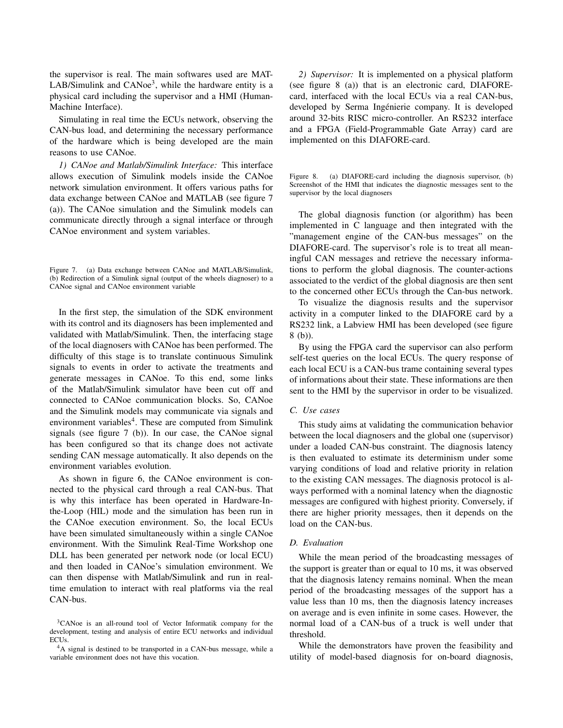the supervisor is real. The main softwares used are MAT-LAB/Simulink and  $CANoe<sup>3</sup>$ , while the hardware entity is a physical card including the supervisor and a HMI (Human-Machine Interface).

Simulating in real time the ECUs network, observing the CAN-bus load, and determining the necessary performance of the hardware which is being developed are the main reasons to use CANoe.

*1) CANoe and Matlab/Simulink Interface:* This interface allows execution of Simulink models inside the CANoe network simulation environment. It offers various paths for data exchange between CANoe and MATLAB (see figure 7 (a)). The CANoe simulation and the Simulink models can communicate directly through a signal interface or through CANoe environment and system variables.

Figure 7. (a) Data exchange between CANoe and MATLAB/Simulink, (b) Redirection of a Simulink signal (output of the wheels diagnoser) to a CANoe signal and CANoe environment variable

In the first step, the simulation of the SDK environment with its control and its diagnosers has been implemented and validated with Matlab/Simulink. Then, the interfacing stage of the local diagnosers with CANoe has been performed. The difficulty of this stage is to translate continuous Simulink signals to events in order to activate the treatments and generate messages in CANoe. To this end, some links of the Matlab/Simulink simulator have been cut off and connected to CANoe communication blocks. So, CANoe and the Simulink models may communicate via signals and environment variables<sup>4</sup>. These are computed from Simulink signals (see figure 7 (b)). In our case, the CANoe signal has been configured so that its change does not activate sending CAN message automatically. It also depends on the environment variables evolution.

As shown in figure 6, the CANoe environment is connected to the physical card through a real CAN-bus. That is why this interface has been operated in Hardware-Inthe-Loop (HIL) mode and the simulation has been run in the CANoe execution environment. So, the local ECUs have been simulated simultaneously within a single CANoe environment. With the Simulink Real-Time Workshop one DLL has been generated per network node (or local ECU) and then loaded in CANoe's simulation environment. We can then dispense with Matlab/Simulink and run in realtime emulation to interact with real platforms via the real CAN-bus.

*2) Supervisor:* It is implemented on a physical platform (see figure 8 (a)) that is an electronic card, DIAFOREcard, interfaced with the local ECUs via a real CAN-bus, developed by Serma Ingénierie company. It is developed around 32-bits RISC micro-controller. An RS232 interface and a FPGA (Field-Programmable Gate Array) card are implemented on this DIAFORE-card.

Figure 8. (a) DIAFORE-card including the diagnosis supervisor, (b) Screenshot of the HMI that indicates the diagnostic messages sent to the supervisor by the local diagnosers

The global diagnosis function (or algorithm) has been implemented in C language and then integrated with the "management engine of the CAN-bus messages" on the DIAFORE-card. The supervisor's role is to treat all meaningful CAN messages and retrieve the necessary informations to perform the global diagnosis. The counter-actions associated to the verdict of the global diagnosis are then sent to the concerned other ECUs through the Can-bus network.

To visualize the diagnosis results and the supervisor activity in a computer linked to the DIAFORE card by a RS232 link, a Labview HMI has been developed (see figure 8 (b)).

By using the FPGA card the supervisor can also perform self-test queries on the local ECUs. The query response of each local ECU is a CAN-bus trame containing several types of informations about their state. These informations are then sent to the HMI by the supervisor in order to be visualized.

## *C. Use cases*

This study aims at validating the communication behavior between the local diagnosers and the global one (supervisor) under a loaded CAN-bus constraint. The diagnosis latency is then evaluated to estimate its determinism under some varying conditions of load and relative priority in relation to the existing CAN messages. The diagnosis protocol is always performed with a nominal latency when the diagnostic messages are configured with highest priority. Conversely, if there are higher priority messages, then it depends on the load on the CAN-bus.

#### *D. Evaluation*

While the mean period of the broadcasting messages of the support is greater than or equal to 10 ms, it was observed that the diagnosis latency remains nominal. When the mean period of the broadcasting messages of the support has a value less than 10 ms, then the diagnosis latency increases on average and is even infinite in some cases. However, the normal load of a CAN-bus of a truck is well under that threshold.

While the demonstrators have proven the feasibility and utility of model-based diagnosis for on-board diagnosis,

<sup>3</sup>CANoe is an all-round tool of Vector Informatik company for the development, testing and analysis of entire ECU networks and individual ECUs.

<sup>4</sup>A signal is destined to be transported in a CAN-bus message, while a variable environment does not have this vocation.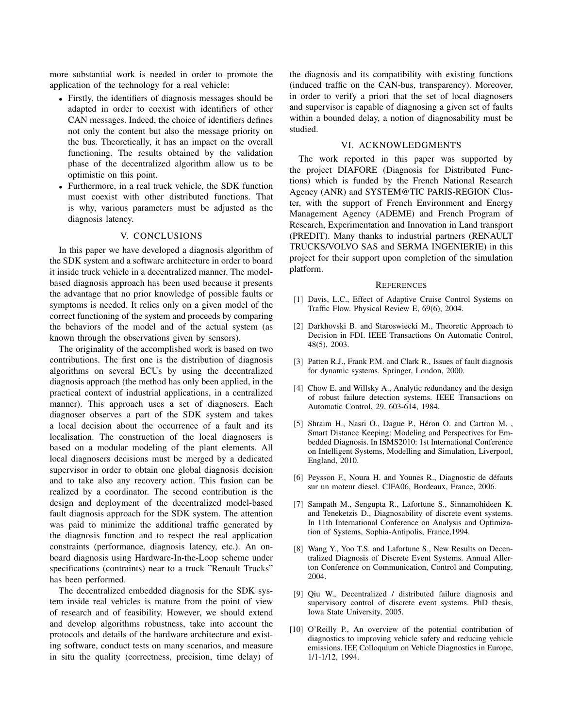more substantial work is needed in order to promote the application of the technology for a real vehicle:

- Firstly, the identifiers of diagnosis messages should be adapted in order to coexist with identifiers of other CAN messages. Indeed, the choice of identifiers defines not only the content but also the message priority on the bus. Theoretically, it has an impact on the overall functioning. The results obtained by the validation phase of the decentralized algorithm allow us to be optimistic on this point.
- Furthermore, in a real truck vehicle, the SDK function must coexist with other distributed functions. That is why, various parameters must be adjusted as the diagnosis latency.

## V. CONCLUSIONS

In this paper we have developed a diagnosis algorithm of the SDK system and a software architecture in order to board it inside truck vehicle in a decentralized manner. The modelbased diagnosis approach has been used because it presents the advantage that no prior knowledge of possible faults or symptoms is needed. It relies only on a given model of the correct functioning of the system and proceeds by comparing the behaviors of the model and of the actual system (as known through the observations given by sensors).

The originality of the accomplished work is based on two contributions. The first one is the distribution of diagnosis algorithms on several ECUs by using the decentralized diagnosis approach (the method has only been applied, in the practical context of industrial applications, in a centralized manner). This approach uses a set of diagnosers. Each diagnoser observes a part of the SDK system and takes a local decision about the occurrence of a fault and its localisation. The construction of the local diagnosers is based on a modular modeling of the plant elements. All local diagnosers decisions must be merged by a dedicated supervisor in order to obtain one global diagnosis decision and to take also any recovery action. This fusion can be realized by a coordinator. The second contribution is the design and deployment of the decentralized model-based fault diagnosis approach for the SDK system. The attention was paid to minimize the additional traffic generated by the diagnosis function and to respect the real application constraints (performance, diagnosis latency, etc.). An onboard diagnosis using Hardware-In-the-Loop scheme under specifications (contraints) near to a truck "Renault Trucks" has been performed.

The decentralized embedded diagnosis for the SDK system inside real vehicles is mature from the point of view of research and of feasibility. However, we should extend and develop algorithms robustness, take into account the protocols and details of the hardware architecture and existing software, conduct tests on many scenarios, and measure in situ the quality (correctness, precision, time delay) of the diagnosis and its compatibility with existing functions (induced traffic on the CAN-bus, transparency). Moreover, in order to verify a priori that the set of local diagnosers and supervisor is capable of diagnosing a given set of faults within a bounded delay, a notion of diagnosability must be studied.

#### VI. ACKNOWLEDGMENTS

The work reported in this paper was supported by the project DIAFORE (Diagnosis for Distributed Functions) which is funded by the French National Research Agency (ANR) and SYSTEM@TIC PARIS-REGION Cluster, with the support of French Environment and Energy Management Agency (ADEME) and French Program of Research, Experimentation and Innovation in Land transport (PREDIT). Many thanks to industrial partners (RENAULT TRUCKS/VOLVO SAS and SERMA INGENIERIE) in this project for their support upon completion of the simulation platform.

#### **REFERENCES**

- [1] Davis, L.C., Effect of Adaptive Cruise Control Systems on Traffic Flow. Physical Review E, 69(6), 2004.
- [2] Darkhovski B. and Staroswiecki M., Theoretic Approach to Decision in FDI. IEEE Transactions On Automatic Control, 48(5), 2003.
- [3] Patten R.J., Frank P.M. and Clark R., Issues of fault diagnosis for dynamic systems. Springer, London, 2000.
- [4] Chow E. and Willsky A., Analytic redundancy and the design of robust failure detection systems. IEEE Transactions on Automatic Control, 29, 603-614, 1984.
- [5] Shraim H., Nasri O., Dague P., Héron O. and Cartron M., Smart Distance Keeping: Modeling and Perspectives for Embedded Diagnosis. In ISMS2010: 1st International Conference on Intelligent Systems, Modelling and Simulation, Liverpool, England, 2010.
- [6] Peysson F., Noura H. and Younes R., Diagnostic de défauts sur un moteur diesel. CIFA06, Bordeaux, France, 2006.
- [7] Sampath M., Sengupta R., Lafortune S., Sinnamohideen K. and Teneketzis D., Diagnosability of discrete event systems. In 11th International Conference on Analysis and Optimization of Systems, Sophia-Antipolis, France,1994.
- [8] Wang Y., Yoo T.S. and Lafortune S., New Results on Decentralized Diagnosis of Discrete Event Systems. Annual Allerton Conference on Communication, Control and Computing, 2004.
- [9] Qiu W., Decentralized / distributed failure diagnosis and supervisory control of discrete event systems. PhD thesis, Iowa State University, 2005.
- [10] O'Reilly P., An overview of the potential contribution of diagnostics to improving vehicle safety and reducing vehicle emissions. IEE Colloquium on Vehicle Diagnostics in Europe, 1/1-1/12, 1994.